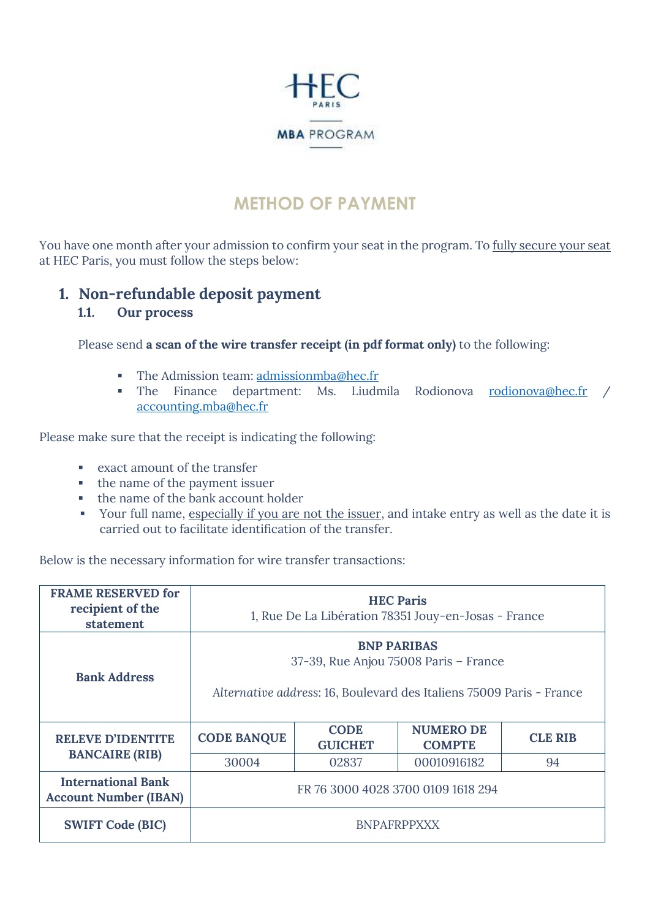

# **METHOD OF PAYMENT**

You have one month after your admission to confirm your seat in the program. To fully secure your seat at HEC Paris, you must follow the steps below:

### **1. Non-refundable deposit payment**

#### **1.1. Our process**

Please send **a scan of the wire transfer receipt (in pdf format only)** to the following:

- **•** The Admission team: [admissionmba@hec.fr](mailto:admissionmba@hec.fr)
- The Finance department: Ms. Liudmila Rodionova [rodionova@hec.fr](mailto:rodionova@hec.fr) / [accounting.mba@hec.fr](mailto:accounting.mba@hec.fr)

Please make sure that the receipt is indicating the following:

- exact amount of the transfer
- the name of the payment issuer
- the name of the bank account holder
- **•** Your full name, especially if you are not the issuer, and intake entry as well as the date it is carried out to facilitate identification of the transfer.

Below is the necessary information for wire transfer transactions:

| <b>FRAME RESERVED for</b><br>recipient of the<br>statement | <b>HEC Paris</b><br>1, Rue De La Libération 78351 Jouy-en-Josas - France                                                            |                               |                                   |                |
|------------------------------------------------------------|-------------------------------------------------------------------------------------------------------------------------------------|-------------------------------|-----------------------------------|----------------|
| <b>Bank Address</b>                                        | <b>BNP PARIBAS</b><br>37-39, Rue Anjou 75008 Paris - France<br>Alternative address: 16, Boulevard des Italiens 75009 Paris - France |                               |                                   |                |
| <b>RELEVE D'IDENTITE</b>                                   | <b>CODE BANQUE</b>                                                                                                                  | <b>CODE</b><br><b>GUICHET</b> | <b>NUMERO DE</b><br><b>COMPTE</b> | <b>CLE RIB</b> |
| <b>BANCAIRE (RIB)</b>                                      | 30004                                                                                                                               | 02837                         | 00010916182                       | 94             |
| <b>International Bank</b><br><b>Account Number (IBAN)</b>  | FR 76 3000 4028 3700 0109 1618 294                                                                                                  |                               |                                   |                |
| <b>SWIFT Code (BIC)</b>                                    | <b>BNPAFRPPXXX</b>                                                                                                                  |                               |                                   |                |